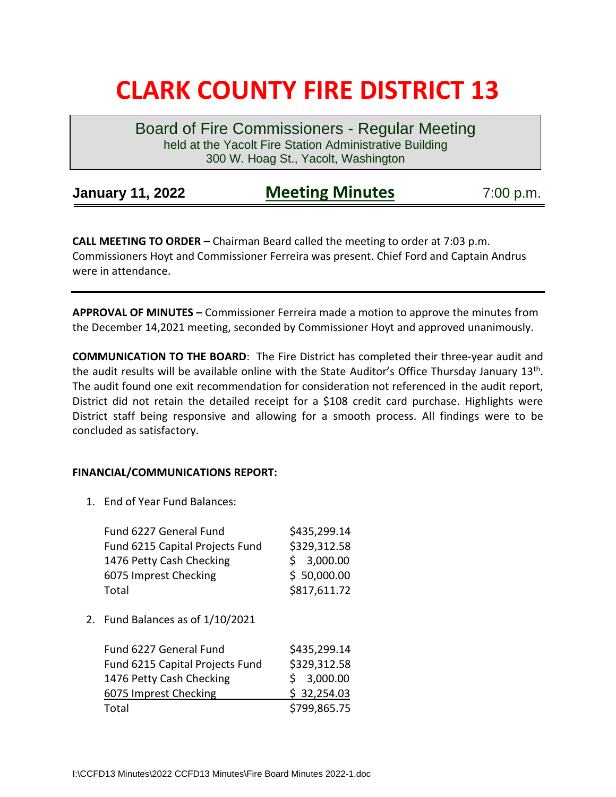## **CLARK COUNTY FIRE DISTRICT 13**

Board of Fire Commissioners - Regular Meeting held at the Yacolt Fire Station Administrative Building 300 W. Hoag St., Yacolt, Washington

| <b>January 11, 2022</b> | <b>Meeting Minutes</b> | 7:00 p.m. |
|-------------------------|------------------------|-----------|
|-------------------------|------------------------|-----------|

**CALL MEETING TO ORDER –** Chairman Beard called the meeting to order at 7:03 p.m. Commissioners Hoyt and Commissioner Ferreira was present. Chief Ford and Captain Andrus were in attendance.

**APPROVAL OF MINUTES –** Commissioner Ferreira made a motion to approve the minutes from the December 14,2021 meeting, seconded by Commissioner Hoyt and approved unanimously.

**COMMUNICATION TO THE BOARD**: The Fire District has completed their three-year audit and the audit results will be available online with the State Auditor's Office Thursday January 13<sup>th</sup>. The audit found one exit recommendation for consideration not referenced in the audit report, District did not retain the detailed receipt for a \$108 credit card purchase. Highlights were District staff being responsive and allowing for a smooth process. All findings were to be concluded as satisfactory.

## **FINANCIAL/COMMUNICATIONS REPORT:**

1. End of Year Fund Balances:

| Fund 6227 General Fund          | \$435,299.14 |
|---------------------------------|--------------|
| Fund 6215 Capital Projects Fund | \$329,312.58 |
| 1476 Petty Cash Checking        | \$3,000.00   |
| 6075 Imprest Checking           | \$50,000.00  |
| Total                           | \$817,611.72 |
|                                 |              |

2. Fund Balances as of 1/10/2021

| Fund 6227 General Fund          | \$435,299.14 |
|---------------------------------|--------------|
| Fund 6215 Capital Projects Fund | \$329,312.58 |
| 1476 Petty Cash Checking        | \$3,000.00   |
| 6075 Imprest Checking           | \$32,254.03  |
| Total                           | \$799,865.75 |